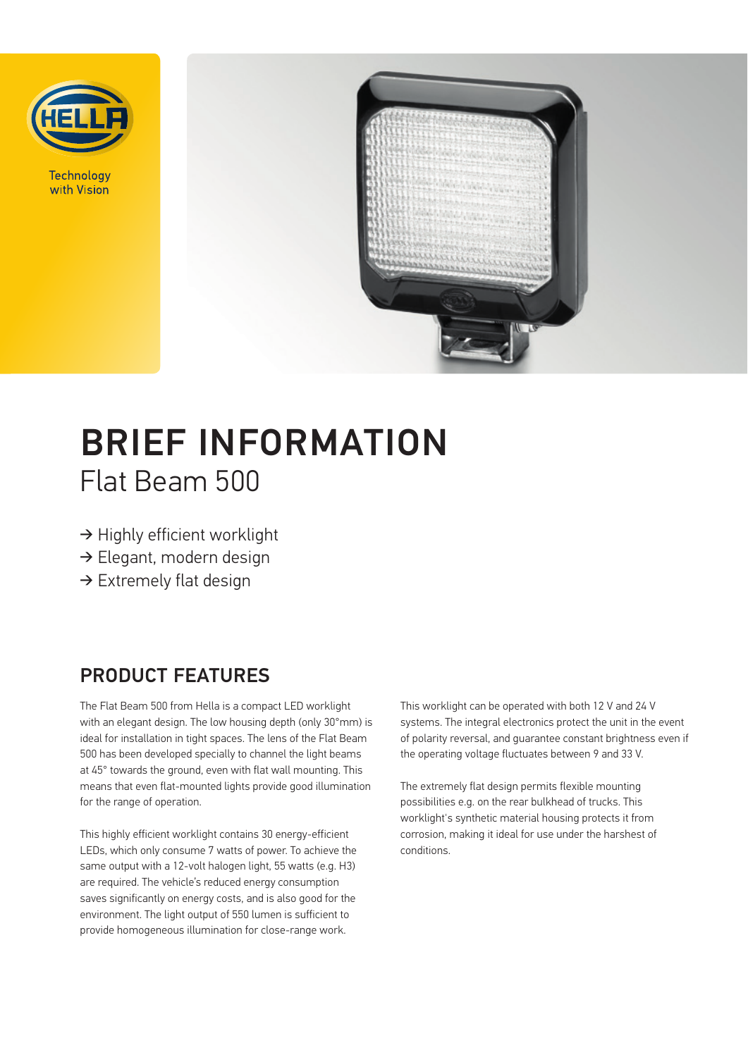

Technology with Vision



# BRIEF INFORMATION Flat Beam 500

- ➔ Highly efficient worklight
- ➔ Elegant, modern design
- → Extremely flat design

### PRODUCT FEATURES

The Flat Beam 500 from Hella is a compact LED worklight with an elegant design. The low housing depth (only 30°mm) is ideal for installation in tight spaces. The lens of the Flat Beam 500 has been developed specially to channel the light beams at 45° towards the ground, even with flat wall mounting. This means that even flat-mounted lights provide good illumination for the range of operation.

This highly efficient worklight contains 30 energy-efficient LEDs, which only consume 7 watts of power. To achieve the same output with a 12-volt halogen light, 55 watts (e.g. H3) are required. The vehicle's reduced energy consumption saves significantly on energy costs, and is also good for the environment. The light output of 550 lumen is sufficient to provide homogeneous illumination for close-range work.

This worklight can be operated with both 12 V and 24 V systems. The integral electronics protect the unit in the event of polarity reversal, and guarantee constant brightness even if the operating voltage fluctuates between 9 and 33 V.

The extremely flat design permits flexible mounting possibilities e.g. on the rear bulkhead of trucks. This worklight's synthetic material housing protects it from corrosion, making it ideal for use under the harshest of conditions.